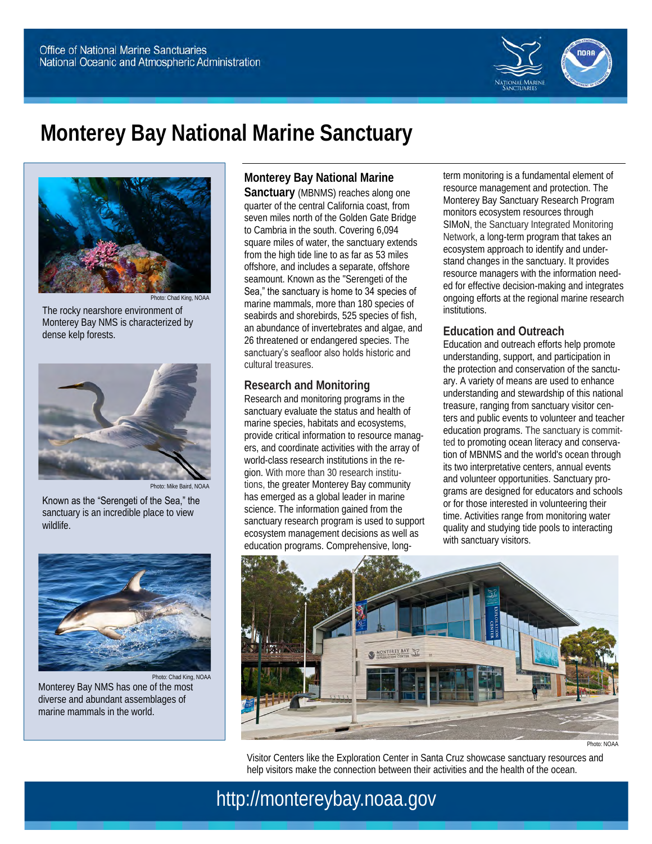

# **Monterey Bay National Marine Sanctuary**



Photo: Chad King, NOAA The rocky nearshore environment of Monterey Bay NMS is characterized by dense kelp forests.



Known as the "Serengeti of the Sea," the sanctuary is an incredible place to view wildlife.



Photo: Chad King, NOAA Monterey Bay NMS has one of the most diverse and abundant assemblages of marine mammals in the world.

**Monterey Bay National Marine** 

**Sanctuary** (MBNMS) reaches along one quarter of the central California coast, from seven miles north of the Golden Gate Bridge to Cambria in the south. Covering 6,094 square miles of water, the sanctuary extends from the high tide line to as far as 53 miles offshore, and includes a separate, offshore seamount. Known as the "Serengeti of the Sea," the sanctuary is home to 34 species of marine mammals, more than 180 species of seabirds and shorebirds, 525 species of fish, an abundance of invertebrates and algae, and 26 threatened or endangered species. The sanctuary's seafloor also holds historic and cultural treasures.

#### **Research and Monitoring**

Research and monitoring programs in the sanctuary evaluate the status and health of marine species, habitats and ecosystems, provide critical information to resource managers, and coordinate activities with the array of world-class research institutions in the region. With more than 30 research institutions, the greater Monterey Bay community has emerged as a global leader in marine science. The information gained from the sanctuary research program is used to support ecosystem management decisions as well as education programs. Comprehensive, longterm monitoring is a fundamental element of resource management and protection. The Monterey Bay Sanctuary Research Program monitors ecosystem resources through SIMoN, the Sanctuary Integrated Monitoring Network, a long-term program that takes an ecosystem approach to identify and understand changes in the sanctuary. It provides resource managers with the information needed for effective decision-making and integrates ongoing efforts at the regional marine research institutions.

#### **Education and Outreach**

Education and outreach efforts help promote understanding, support, and participation in the protection and conservation of the sanctuary. A variety of means are used to enhance understanding and stewardship of this national treasure, ranging from sanctuary visitor centers and public events to volunteer and teacher education programs. The sanctuary is committed to promoting ocean literacy and conservation of MBNMS and the world's ocean through its two interpretative centers, annual events and volunteer opportunities. Sanctuary programs are designed for educators and schools or for those interested in volunteering their time. Activities range from monitoring water quality and studying tide pools to interacting with sanctuary visitors.



Photo: NOAA

Visitor Centers like the Exploration Center in Santa Cruz showcase sanctuary resources and help visitors make the connection between their activities and the health of the ocean.

http://montereybay.noaa.gov